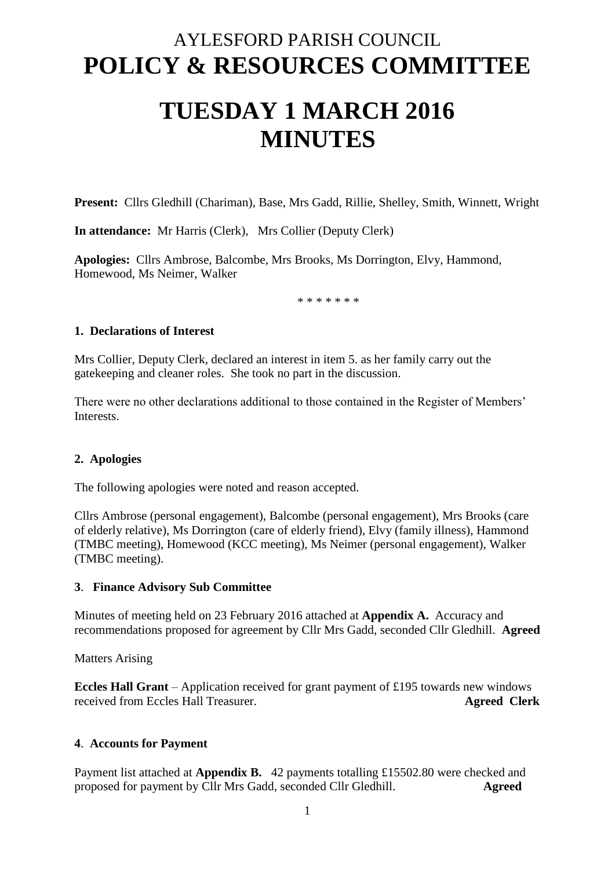# AYLESFORD PARISH COUNCIL **POLICY & RESOURCES COMMITTEE**

# **TUESDAY 1 MARCH 2016 MINUTES**

**Present:** Cllrs Gledhill (Chariman), Base, Mrs Gadd, Rillie, Shelley, Smith, Winnett, Wright

**In attendance:** Mr Harris (Clerk), Mrs Collier (Deputy Clerk)

**Apologies:** Cllrs Ambrose, Balcombe, Mrs Brooks, Ms Dorrington, Elvy, Hammond, Homewood, Ms Neimer, Walker

\* \* \* \* \* \* \*

#### **1. Declarations of Interest**

Mrs Collier, Deputy Clerk, declared an interest in item 5. as her family carry out the gatekeeping and cleaner roles. She took no part in the discussion.

There were no other declarations additional to those contained in the Register of Members' Interests.

### **2. Apologies**

The following apologies were noted and reason accepted.

Cllrs Ambrose (personal engagement), Balcombe (personal engagement), Mrs Brooks (care of elderly relative), Ms Dorrington (care of elderly friend), Elvy (family illness), Hammond (TMBC meeting), Homewood (KCC meeting), Ms Neimer (personal engagement), Walker (TMBC meeting).

#### **3**. **Finance Advisory Sub Committee**

Minutes of meeting held on 23 February 2016 attached at **Appendix A.** Accuracy and recommendations proposed for agreement by Cllr Mrs Gadd, seconded Cllr Gledhill. **Agreed**

Matters Arising

**Eccles Hall Grant** – Application received for grant payment of £195 towards new windows received from Eccles Hall Treasurer. **Agreed Clerk**

### **4**. **Accounts for Payment**

Payment list attached at **Appendix B.** 42 payments totalling £15502.80 were checked and proposed for payment by Cllr Mrs Gadd, seconded Cllr Gledhill. **Agreed**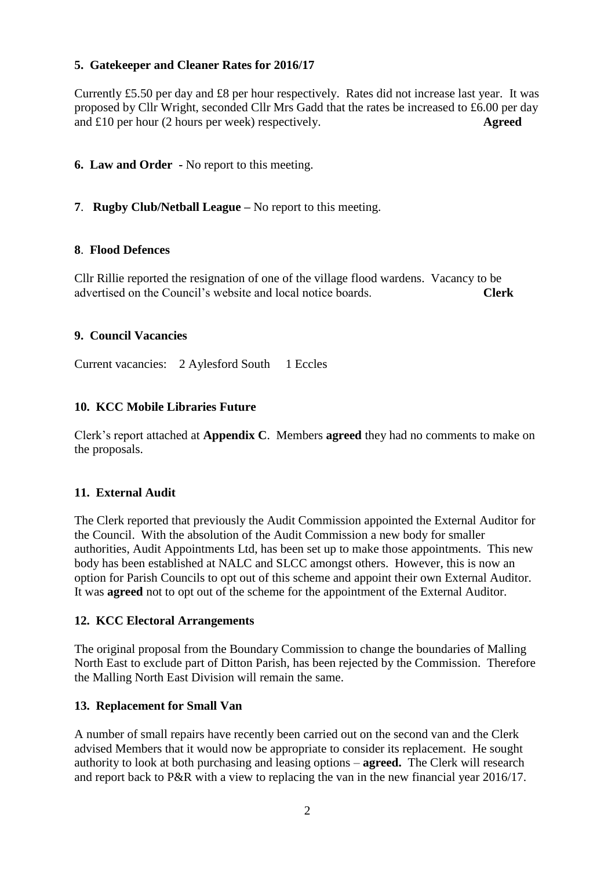# **5. Gatekeeper and Cleaner Rates for 2016/17**

Currently £5.50 per day and £8 per hour respectively. Rates did not increase last year. It was proposed by Cllr Wright, seconded Cllr Mrs Gadd that the rates be increased to £6.00 per day and £10 per hour (2 hours per week) respectively. **Agreed**

# **6. Law and Order -** No report to this meeting.

# **7**. **Rugby Club/Netball League –** No report to this meeting.

### **8**. **Flood Defences**

Cllr Rillie reported the resignation of one of the village flood wardens. Vacancy to be advertised on the Council's website and local notice boards. **Clerk**

### **9. Council Vacancies**

Current vacancies: 2 Aylesford South 1 Eccles

### **10. KCC Mobile Libraries Future**

Clerk's report attached at **Appendix C**. Members **agreed** they had no comments to make on the proposals.

### **11. External Audit**

The Clerk reported that previously the Audit Commission appointed the External Auditor for the Council. With the absolution of the Audit Commission a new body for smaller authorities, Audit Appointments Ltd, has been set up to make those appointments. This new body has been established at NALC and SLCC amongst others. However, this is now an option for Parish Councils to opt out of this scheme and appoint their own External Auditor. It was **agreed** not to opt out of the scheme for the appointment of the External Auditor.

#### **12. KCC Electoral Arrangements**

The original proposal from the Boundary Commission to change the boundaries of Malling North East to exclude part of Ditton Parish, has been rejected by the Commission. Therefore the Malling North East Division will remain the same.

### **13. Replacement for Small Van**

A number of small repairs have recently been carried out on the second van and the Clerk advised Members that it would now be appropriate to consider its replacement. He sought authority to look at both purchasing and leasing options – **agreed.** The Clerk will research and report back to P&R with a view to replacing the van in the new financial year 2016/17.